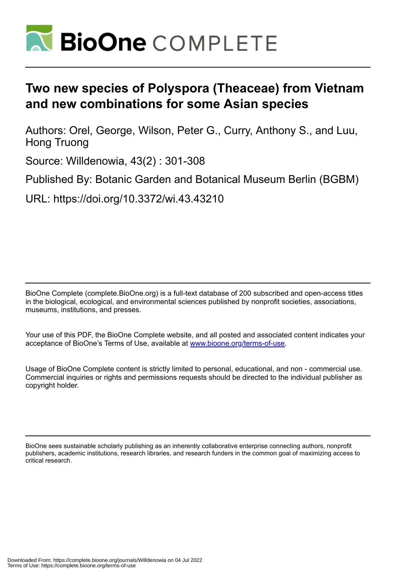

# **Two new species of Polyspora (Theaceae) from Vietnam and new combinations for some Asian species**

Authors: Orel, George, Wilson, Peter G., Curry, Anthony S., and Luu, Hong Truong

Source: Willdenowia, 43(2) : 301-308

Published By: Botanic Garden and Botanical Museum Berlin (BGBM)

URL: https://doi.org/10.3372/wi.43.43210

BioOne Complete (complete.BioOne.org) is a full-text database of 200 subscribed and open-access titles in the biological, ecological, and environmental sciences published by nonprofit societies, associations, museums, institutions, and presses.

Your use of this PDF, the BioOne Complete website, and all posted and associated content indicates your acceptance of BioOne's Terms of Use, available at www.bioone.org/terms-of-use.

Usage of BioOne Complete content is strictly limited to personal, educational, and non - commercial use. Commercial inquiries or rights and permissions requests should be directed to the individual publisher as copyright holder.

BioOne sees sustainable scholarly publishing as an inherently collaborative enterprise connecting authors, nonprofit publishers, academic institutions, research libraries, and research funders in the common goal of maximizing access to critical research.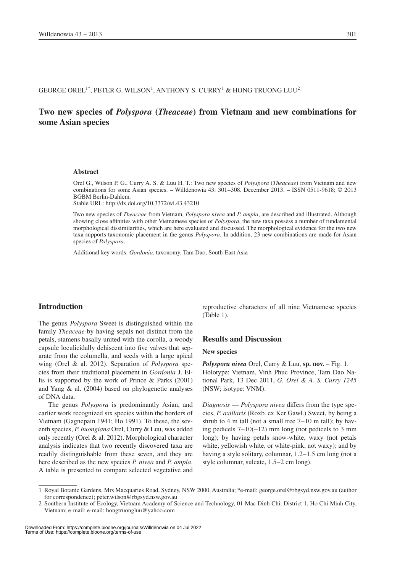#### GEORGE OREL $^{1*}$ , PETER G. WILSON $^{1}$ , ANTHONY S. CURRY $^{1}$  & HONG TRUONG LUU $^{2}$

# **Two new species of** *Polyspora* **(***Theaceae***) from Vietnam and new combinations for some Asian species**

#### **Abstract**

Orel G., Wilson P. G., Curry A. S. & Luu H. T.: Two new species of *Polyspora* (*Theaceae*) from Vietnam and new combinations for some Asian species. – Willdenowia 43: 301–308. December 2013. – ISSN 0511-9618; © 2013 BGBM Berlin-Dahlem.

Stable URL: http://dx.doi.org/10.3372/wi.43.43210

Two new species of *Theaceae* from Vietnam, *Polyspora nivea* and *P. ampla*, are described and illustrated. Although showing close affinities with other Vietnamese species of *Polyspora*, the new taxa possess a number of fundamental morphological dissimilarities, which are here evaluated and discussed. The morphological evidence for the two new taxa supports taxonomic placement in the genus *Polyspora*. In addition, 23 new combinations are made for Asian species of *Polyspora*.

Additional key words: *Gordonia*, taxonomy, Tam Dao, South-East Asia

## **Introduction**

The genus *Polyspora* Sweet is distinguished within the family *Theaceae* by having sepals not distinct from the petals, stamens basally united with the corolla, a woody capsule loculicidally dehiscent into five valves that separate from the columella, and seeds with a large apical wing (Orel & al. 2012). Separation of *Polyspora* species from their traditional placement in *Gordonia* J. Ellis is supported by the work of Prince & Parks (2001) and Yang & al. (2004) based on phylogenetic analyses of DNA data.

The genus *Polyspora* is predominantly Asian, and earlier work recognized six species within the borders of Vietnam (Gagnepain 1941; Ho 1991). To these, the seventh species, *P. huongiana* Orel, Curry & Luu, was added only recently (Orel & al. 2012). Morphological character analysis indicates that two recently discovered taxa are readily distinguishable from these seven, and they are here described as the new species *P. nivea* and *P. ampla*. A table is presented to compare selected vegetative and reproductive characters of all nine Vietnamese species (Table 1).

#### **Results and Discussion**

#### **New species**

*Polyspora nivea* Orel, Curry & Luu, **sp. nov.** – Fig. 1. Holotype: Vietnam, Vinh Phuc Province, Tam Dao National Park, 13 Dec 2011, *G. Orel & A. S. Curry 1245* (NSW; isotype: VNM).

*Diagnosis* — *Polyspora nivea* differs from the type species, *P. axillaris* (Roxb. ex Ker Gawl.) Sweet, by being a shrub to 4 m tall (not a small tree  $7-10$  m tall); by having pedicels  $7-10(-12)$  mm long (not pedicels to 3 mm long); by having petals snow-white, waxy (not petals white, yellowish white, or white-pink, not waxy); and by having a style solitary, columnar, 1.2–1.5 cm long (not a style columnar, sulcate, 1.5–2 cm long).

<sup>1</sup> Royal Botanic Gardens, Mrs Macquaries Road, Sydney, NSW 2000, Australia; \*e-mail: george.orel@rbgsyd.nsw.gov.au (author for correspondence); peter.wilson@rbgsyd.nsw.gov.au

<sup>2</sup> Southern Institute of Ecology, Vietnam Academy of Science and Technology, 01 Mac Dinh Chi, District 1, Ho Chi Minh City, Vietnam; e-mail: e-mail: hongtruongluu@yahoo.com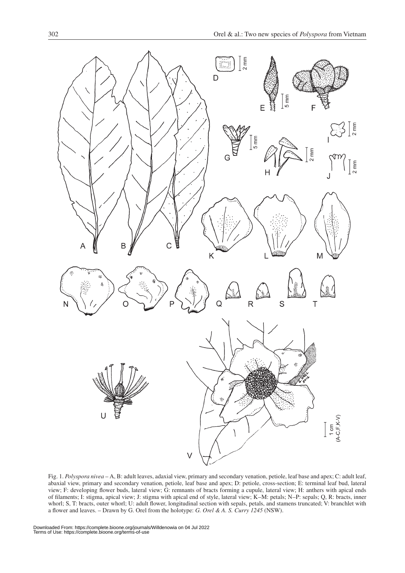

Fig. 1. *Polyspora nivea* – A, B: adult leaves, adaxial view, primary and secondary venation, petiole, leaf base and apex; C: adult leaf, abaxial view, primary and secondary venation, petiole, leaf base and apex; D: petiole, cross-section; E: terminal leaf bud, lateral view; F: developing flower buds, lateral view; G: remnants of bracts forming a cupule, lateral view; H: anthers with apical ends of filaments; I: stigma, apical view; J: stigma with apical end of style, lateral view; K–M: petals; N–P: sepals; Q, R: bracts, inner whorl; S, T: bracts, outer whorl; U: adult flower, longitudinal section with sepals, petals, and stamens truncated; V: branchlet with a flower and leaves. – Drawn by G. Orel from the holotype: *G. Orel & A. S. Curry 1245* (NSW).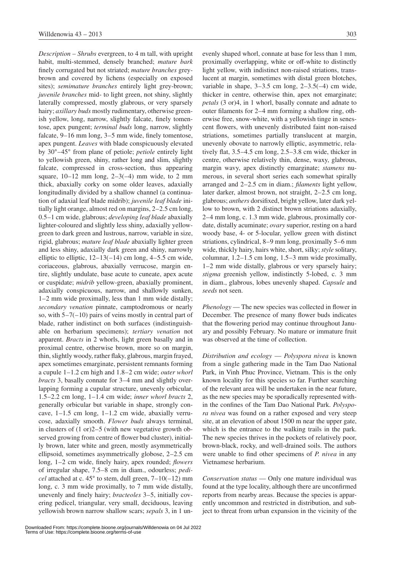*Description* – *Shrubs* evergreen, to 4 m tall, with upright habit, multi-stemmed, densely branched; *mature bark* finely corrugated but not striated; *mature branches* greybrown and covered by lichens (especially on exposed sites); *semimature branches* entirely light grey-brown; *juvenile branches* mid- to light green, not shiny, slightly laterally compressed, mostly glabrous, or very sparsely hairy; *axillary buds* mostly rudimentary, otherwise greenish yellow, long, narrow, slightly falcate, finely tomentose, apex pungent; *terminal buds* long, narrow, slightly falcate, 9–16 mm long, 3–5 mm wide, finely tomentose, apex pungent. *Leaves* with blade conspicuously elevated by 30°–45° from plane of petiole; *petiole* entirely light to yellowish green, shiny, rather long and slim, slightly falcate, compressed in cross-section, thus appearing square,  $10-12$  mm long,  $2-3(-4)$  mm wide, to 2 mm thick, abaxially corky on some older leaves, adaxially longitudinally divided by a shallow channel (a continuation of adaxial leaf blade midrib); *juvenile leaf blade* initially light orange, almost red on margins, 2–2.5 cm long, 0.5–1 cm wide, glabrous; *developing leaf blade* abaxially lighter-coloured and slightly less shiny, adaxially yellowgreen to dark green and lustrous, narrow, variable in size, rigid, glabrous; *mature leaf blade* abaxially lighter green and less shiny, adaxially dark green and shiny, narrowly elliptic to elliptic,  $12-13(-14)$  cm long,  $4-5.5$  cm wide, coriaceous, glabrous, abaxially verrucose, margin entire, slightly undulate, base acute to cuneate, apex acute or cuspidate; *midrib* yellow-green, abaxially prominent, adaxially conspicuous, narrow, and shallowly sunken, 1–2 mm wide proximally, less than 1 mm wide distally; *secondary venation* pinnate, camptodromous or nearly so, with  $5-7(-10)$  pairs of veins mostly in central part of blade, rather indistinct on both surfaces (indistinguishable on herbarium specimens); *tertiary venation* not apparent. *Bracts* in 2 whorls, light green basally and in proximal centre, otherwise brown, more so on margin, thin, slightly woody, rather flaky, glabrous, margin frayed, apex sometimes emarginate, persistent remnants forming a cupule 1–1.2 cm high and 1.8–2 cm wide; *outer whorl bracts* 3, basally connate for 3–4 mm and slightly overlapping forming a cupular structure, unevenly orbicular, 1.5–2.2 cm long, 1–1.4 cm wide; *inner whorl bracts* 2, generally orbicular but variable in shape, strongly concave,  $1-1.5$  cm long,  $1-1.2$  cm wide, abaxially verrucose, adaxially smooth. *Flower buds* always terminal, in clusters of (1 or)2–5 (with new vegetative growth observed growing from centre of flower bud cluster), initially brown, later white and green, mostly asymmetrically ellipsoid, sometimes asymmetrically globose, 2–2.5 cm long, 1–2 cm wide, finely hairy, apex rounded; *flowers* of irregular shape, 7.5–8 cm in diam., odourless; *pedicel* attached at c. 45° to stem, dull green, 7–10(–12) mm long, c. 3 mm wide proximally, to 7 mm wide distally, unevenly and finely hairy; *bracteoles* 3–5, initially covering pedicel, triangular, very small, deciduous, leaving yellowish brown narrow shallow scars; *sepals* 3, in 1 un-

evenly shaped whorl, connate at base for less than 1 mm, proximally overlapping, white or off-white to distinctly light yellow, with indistinct non-raised striations, translucent at margin, sometimes with distal green blotches, variable in shape,  $3-3.5$  cm long,  $2-3.5(-4)$  cm wide, thicker in centre, otherwise thin, apex not emarginate; *petals* (3 or)4, in 1 whorl, basally connate and adnate to outer filaments for 2–4 mm forming a shallow ring, otherwise free, snow-white, with a yellowish tinge in senescent flowers, with unevenly distributed faint non-raised striations, sometimes partially translucent at margin, unevenly obovate to narrowly elliptic, asymmetric, relatively flat, 3.5–4.5 cm long, 2.5–3.8 cm wide, thicker in centre, otherwise relatively thin, dense, waxy, glabrous, margin wavy, apex distinctly emarginate; *stamens* numerous, in several short series each somewhat spirally arranged and 2–2.5 cm in diam.; *filaments* light yellow, later darker, almost brown, not straight, 2–2.5 cm long, glabrous; *anthers* dorsifixed, bright yellow, later dark yellow to brown, with 2 distinct brown striations adaxially, 2–4 mm long, c. 1.3 mm wide, glabrous, proximally cordate, distally acuminate; *ovary* superior, resting on a hard woody base, 4- or 5-locular, yellow green with distinct striations, cylindrical, 8–9 mm long, proximally 5–6 mm wide, thickly hairy, hairs white, short, silky; *style* solitary, columnar, 1.2–1.5 cm long, 1.5–3 mm wide proximally, 1–2 mm wide distally, glabrous or very sparsely hairy; *stigma* greenish yellow, indistinctly 5-lobed, c. 3 mm in diam., glabrous, lobes unevenly shaped. *Capsule* and *seeds* not seen.

*Phenology* — The new species was collected in flower in December. The presence of many flower buds indicates that the flowering period may continue throughout January and possibly February. No mature or immature fruit was observed at the time of collection.

*Distribution and ecology* — *Polyspora nivea* is known from a single gathering made in the Tam Dao National Park, in Vinh Phuc Province, Vietnam. This is the only known locality for this species so far. Further searching of the relevant area will be undertaken in the near future, as the new species may be sporadically represented within the confines of the Tam Dao National Park. *Polyspora nivea* was found on a rather exposed and very steep site, at an elevation of about 1500 m near the upper gate, which is the entrance to the walking trails in the park. The new species thrives in the pockets of relatively poor, brown-black, rocky, and well-drained soils. The authors were unable to find other specimens of *P. nivea* in any Vietnamese herbarium.

*Conservation status* — Only one mature individual was found at the type locality, although there are unconfirmed reports from nearby areas. Because the species is apparently uncommon and restricted in distribution, and subject to threat from urban expansion in the vicinity of the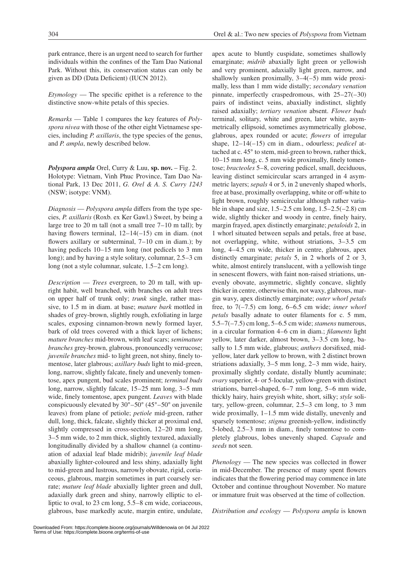park entrance, there is an urgent need to search for further individuals within the confines of the Tam Dao National Park. Without this, its conservation status can only be given as DD (Data Deficient) (IUCN 2012).

*Etymology* — The specific epithet is a reference to the distinctive snow-white petals of this species.

*Remarks* — Table 1 compares the key features of *Polyspora nivea* with those of the other eight Vietnamese species, including *P. axillaris*, the type species of the genus, and *P. ampla*, newly described below.

*Polyspora ampla* Orel, Curry & Luu, **sp. nov.** – Fig. 2. Holotype: Vietnam, Vinh Phuc Province, Tam Dao National Park, 13 Dec 2011, *G. Orel & A. S. Curry 1243* (NSW; isotype: VNM).

*Diagnosis* — *Polyspora ampla* differs from the type species, *P. axillaris* (Roxb. ex Ker Gawl.) Sweet, by being a large tree to 20 m tall (not a small tree 7–10 m tall); by having flowers terminal,  $12-14(-15)$  cm in diam. (not flowers axillary or subterminal, 7–10 cm in diam.); by having pedicels 10–15 mm long (not pedicels to 3 mm long); and by having a style solitary, columnar, 2.5–3 cm long (not a style columnar, sulcate, 1.5–2 cm long).

*Description* — *Trees* evergreen, to 20 m tall, with upright habit, well branched, with branches on adult trees on upper half of trunk only; *trunk* single, rather massive, to 1.5 m in diam. at base; *mature bark* mottled in shades of grey-brown, slightly rough, exfoliating in large scales, exposing cinnamon-brown newly formed layer, bark of old trees covered with a thick layer of lichens; *mature branches* mid-brown, with leaf scars; *semimature branches* grey-brown, glabrous, pronouncedly verrucose; *juvenile branches* mid- to light green, not shiny, finely tomentose, later glabrous; *axillary buds* light to mid-green, long, narrow, slightly falcate, finely and unevenly tomentose, apex pungent, bud scales prominent; *terminal buds* long, narrow, slightly falcate, 15–25 mm long, 3–5 mm wide, finely tomentose, apex pungent. *Leaves* with blade conspicuously elevated by 30°–50° (45°–50° on juvenile leaves) from plane of petiole; *petiole* mid-green, rather dull, long, thick, falcate, slightly thicker at proximal end, slightly compressed in cross-section, 12–20 mm long, 3–5 mm wide, to 2 mm thick, slightly textured, adaxially longitudinally divided by a shallow channel (a continuation of adaxial leaf blade midrib); *juvenile leaf blade* abaxially lighter-coloured and less shiny, adaxially light to mid-green and lustrous, narrowly obovate, rigid, coriaceous, glabrous, margin sometimes in part coarsely serrate; *mature leaf blade* abaxially lighter green and dull, adaxially dark green and shiny, narrowly elliptic to elliptic to oval, to 23 cm long, 5.5–8 cm wide, coriaceous, glabrous, base markedly acute, margin entire, undulate,

apex acute to bluntly cuspidate, sometimes shallowly emarginate; *midrib* abaxially light green or yellowish and very prominent, adaxially light green, narrow, and shallowly sunken proximally,  $3-4(-5)$  mm wide proximally, less than 1 mm wide distally; *secondary venation* pinnate, imperfectly craspedromous, with 25–27(–30) pairs of indistinct veins, abaxially indistinct, slightly raised adaxially; *tertiary venation* absent. *Flower buds* terminal, solitary, white and green, later white, asymmetrically ellipsoid, sometimes asymmetrically globose, glabrous, apex rounded or acute; *flowers* of irregular shape, 12–14(–15) cm in diam., odourless; *pedicel* attached at c. 45° to stem, mid-green to brown, rather thick, 10–15 mm long, c. 5 mm wide proximally, finely tomentose; *bracteoles* 5–8, covering pedicel, small, deciduous, leaving distinct semicircular scars arranged in 4 asymmetric layers; *sepals* 4 or 5, in 2 unevenly shaped whorls, free at base, proximally overlapping, white or off-white to light brown, roughly semicircular although rather variable in shape and size, 1.5–2.5 cm long, 1.5–2.5(–2.8) cm wide, slightly thicker and woody in centre, finely hairy, margin frayed, apex distinctly emarginate; *petaloids* 2, in 1 whorl situated between sepals and petals, free at base, not overlapping, white, without striations, 3–3.5 cm long, 4–4.5 cm wide, thicker in centre, glabrous, apex distinctly emarginate; *petals* 5, in 2 whorls of 2 or 3, white, almost entirely translucent, with a yellowish tinge in senescent flowers, with faint non-raised striations, unevenly obovate, asymmetric, slightly concave, slightly thicker in centre, otherwise thin, not waxy, glabrous, margin wavy, apex distinctly emarginate; *outer whorl petals* free, to 7(–7.5) cm long, 6–6.5 cm wide; *inner whorl petals* basally adnate to outer filaments for c. 5 mm, 5.5–7(–7.5) cm long, 5–6.5 cm wide; *stamens* numerous, in a circular formation 4–6 cm in diam.; *filaments* light yellow, later darker, almost brown, 3–3.5 cm long, basally to 1.5 mm wide, glabrous; *anthers* dorsifixed, midyellow, later dark yellow to brown, with 2 distinct brown striations adaxially, 3–5 mm long, 2–3 mm wide, hairy, proximally slightly cordate, distally bluntly acuminate; *ovary* superior, 4- or 5-locular, yellow-green with distinct striations, barrel-shaped, 6–7 mm long, 5–6 mm wide, thickly hairy, hairs greyish white, short, silky; *style* solitary, yellow-green, columnar, 2.5–3 cm long, to 3 mm wide proximally, 1–1.5 mm wide distally, unevenly and sparsely tomentose; *stigma* greenish-yellow, indistinctly 5-lobed, 2.5–3 mm in diam., finely tomentose to completely glabrous, lobes unevenly shaped. *Capsule* and *seeds* not seen.

*Phenology* — The new species was collected in flower in mid-December. The presence of many spent flowers indicates that the flowering period may commence in late October and continue throughout November. No mature or immature fruit was observed at the time of collection.

*Distribution and ecology* — *Polyspora ampla* is known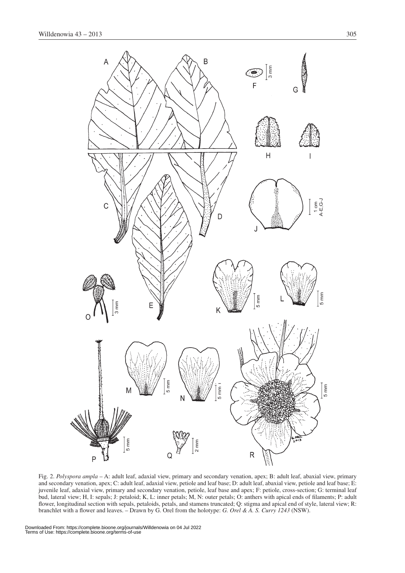

Fig. 2. *Polyspora ampla* – A: adult leaf, adaxial view, primary and secondary venation, apex; B: adult leaf, abaxial view, primary and secondary venation, apex; C: adult leaf, adaxial view, petiole and leaf base; D: adult leaf, abaxial view, petiole and leaf base; E: juvenile leaf, adaxial view, primary and secondary venation, petiole, leaf base and apex; F: petiole, cross-section; G: terminal leaf bud, lateral view; H, I: sepals; J: petaloid; K, L: inner petals; M, N: outer petals; O: anthers with apical ends of filaments; P: adult flower, longitudinal section with sepals, petaloids, petals, and stamens truncated; Q: stigma and apical end of style, lateral view; R: branchlet with a flower and leaves. – Drawn by G. Orel from the holotype: *G. Orel & A. S. Curry 1243* (NSW).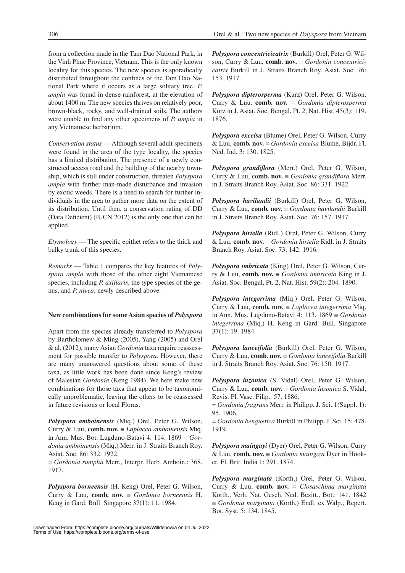from a collection made in the Tam Dao National Park, in the Vinh Phuc Province, Vietnam. This is the only known locality for this species. The new species is sporadically distributed throughout the confines of the Tam Dao National Park where it occurs as a large solitary tree. *P. ampla* was found in dense rainforest, at the elevation of about 1400 m. The new species thrives on relatively poor, brown-black, rocky, and well-drained soils. The authors were unable to find any other specimens of *P. ampla* in any Vietnamese herbarium.

*Conservation status* — Although several adult specimens were found in the area of the type locality, the species has a limited distribution. The presence of a newly constructed access road and the building of the nearby township, which is still under construction, threaten *Polyspora ampla* with further man-made disturbance and invasion by exotic weeds. There is a need to search for further individuals in the area to gather more data on the extent of its distribution. Until then, a conservation rating of DD (Data Deficient) (IUCN 2012) is the only one that can be applied.

*Etymology* — The specific epithet refers to the thick and bulky trunk of this species.

*Remarks* — Table 1 compares the key features of *Polyspora ampla* with those of the other eight Vietnamese species, including *P. axillaris*, the type species of the genus, and *P. nivea*, newly described above.

## **New combinations for some Asian species of** *Polyspora*

Apart from the species already transferred to *Polyspora* by Bartholomew & Ming (2005), Yang (2005) and Orel & al. (2012), many Asian *Gordonia* taxa require reassessment for possible transfer to *Polyspora*. However, there are many unanswered questions about some of these taxa, as little work has been done since Keng's review of Malesian *Gordonia* (Keng 1984). We here make new combinations for those taxa that appear to be taxonomically unproblematic, leaving the others to be reassessed in future revisions or local Floras.

*Polyspora amboinensis* (Miq.) Orel, Peter G. Wilson, Curry & Luu, **comb. nov.** ≡ *Laplacea amboinensis* Miq. in Ann. Mus. Bot. Lugduno-Batavi 4: 114. 1869 ≡ *Gordonia amboinensis* (Miq.) Merr. in J. Straits Branch Roy. Asiat. Soc. 86: 332. 1922.

= *Gordonia rumphii* Merr., Interpr. Herb. Amboin.: 368. 1917.

*Polyspora borneensis* (H. Keng) Orel, Peter G. Wilson, Curry & Luu, **comb. nov.** ≡ *Gordonia borneensis* H. Keng in Gard. Bull. Singapore 37(1): 11. 1984.

*Polyspora concentricicatrix* (Burkill) Orel, Peter G. Wilson, Curry & Luu, **comb. nov.** ≡ *Gordonia concentricicatrix* Burkill in J. Straits Branch Roy. Asiat. Soc. 76: 153. 1917.

*Polyspora dipterosperma* (Kurz) Orel, Peter G. Wilson, Curry & Luu, **comb. nov.** ≡ *Gordonia dipterosperma* Kurz in J. Asiat. Soc. Bengal, Pt. 2, Nat. Hist. 45(3): 119. 1876.

*Polyspora excelsa* (Blume) Orel, Peter G. Wilson, Curry & Luu, **comb. nov.** ≡ *Gordonia excelsa* Blume, Bijdr. Fl. Ned. Ind. 3: 130. 1825.

*Polyspora grandiflora* (Merr.) Orel, Peter G. Wilson, Curry & Luu, **comb. nov.** ≡ *Gordonia grandiflora* Merr. in J. Straits Branch Roy. Asiat. Soc. 86: 331. 1922.

*Polyspora havilandii* (Burkill) Orel, Peter G. Wilson, Curry & Luu, **comb. nov.** ≡ *Gordonia havilandii* Burkill in J. Straits Branch Roy. Asiat. Soc. 76: 157. 1917.

*Polyspora hirtella* (Ridl.) Orel, Peter G. Wilson, Curry & Luu, **comb. nov.** ≡ *Gordonia hirtella* Ridl. in J. Straits Branch Roy. Asiat. Soc. 73: 142. 1916.

*Polyspora imbricata* (King) Orel, Peter G. Wilson, Curry & Luu, **comb. nov.** ≡ *Gordonia imbricata* King in J. Asiat. Soc. Bengal, Pt. 2, Nat. Hist. 59(2): 204. 1890.

*Polyspora integerrima* (Miq.) Orel, Peter G. Wilson, Curry & Luu, **comb. nov.** ≡ *Laplacea integerrima* Miq. in Ann. Mus. Lugduno-Batavi 4: 113. 1869 ≡ *Gordonia integerrima* (Miq.) H. Keng in Gard. Bull. Singapore 37(1): 19. 1984.

*Polyspora lanceifolia* (Burkill) Orel, Peter G. Wilson, Curry & Luu, **comb. nov.** ≡ *Gordonia lanceifolia* Burkill in J. Straits Branch Roy. Asiat. Soc. 76: 150. 1917.

*Polyspora luzonica* (S. Vidal) Orel, Peter G. Wilson, Curry & Luu, **comb. nov.** ≡ *Gordonia luzonica* S. Vidal, Revis. Pl. Vasc. Filip.: 57. 1886.

= *Gordonia fragrans* Merr. in Philipp. J. Sci. 1(Suppl. 1): 95. 1906.

= *Gordonia benguetica* Burkill in Philipp. J. Sci. 15: 478. 1919.

*Polyspora maingayi* (Dyer) Orel, Peter G. Wilson, Curry & Luu, **comb. nov.** ≡ *Gordonia maingayi* Dyer in Hooker, Fl. Brit. India 1: 291. 1874.

*Polyspora marginata* (Korth.) Orel, Peter G. Wilson, Curry & Luu, **comb. nov.** ≡ *Closaschima marginata* Korth., Verh. Nat. Gesch. Ned. Bezitt., Bot.: 141. 1842 ≡ *Gordonia marginata* (Korth.) Endl. ex Walp., Repert. Bot. Syst. 5: 134. 1845.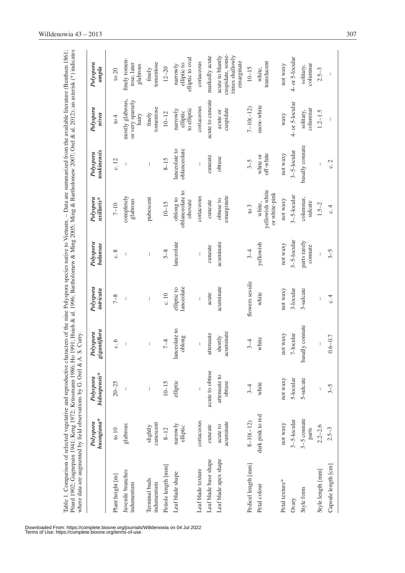| Table 1. Comparison of selected vegetative and reproductive characters of the nine Polyspora species native to Vietnam. - Data are summarized from the available literature (Bentham 1861;<br>Pitard 1902; Gagnepain 1941; Keng 1972; Krüssmann 1986; Ho 1991; Hsieh & al. 1996; Bartholomew & Ming 2005; Ming & Bartholomew 2007; Orel & al. 2012); an asterisk (*) indicates<br>where data are augmented by field observations by G. Orel & A. |                         |                                | S. Curry.                              |                                |                                       |                                            |                                                                                                                                                                                                                                                                                                                                                                                  |                                                                                                                                                                                                                                                                                                                                                                                                                |                                                                       |
|--------------------------------------------------------------------------------------------------------------------------------------------------------------------------------------------------------------------------------------------------------------------------------------------------------------------------------------------------------------------------------------------------------------------------------------------------|-------------------------|--------------------------------|----------------------------------------|--------------------------------|---------------------------------------|--------------------------------------------|----------------------------------------------------------------------------------------------------------------------------------------------------------------------------------------------------------------------------------------------------------------------------------------------------------------------------------------------------------------------------------|----------------------------------------------------------------------------------------------------------------------------------------------------------------------------------------------------------------------------------------------------------------------------------------------------------------------------------------------------------------------------------------------------------------|-----------------------------------------------------------------------|
|                                                                                                                                                                                                                                                                                                                                                                                                                                                  | huongiana*<br>Polyspora | bidoupensis*<br>Polyspora      | gantiflora<br>Polyspora<br>$\tilde{g}$ | Polyspora<br>intricata         | Polyspora<br>balansae                 | Polyspora<br>axillaris*                    | tonkinensis<br>Polyspora                                                                                                                                                                                                                                                                                                                                                         | Polyspora<br>nivea                                                                                                                                                                                                                                                                                                                                                                                             | Polyspora<br>ampla                                                    |
| Plant height [m]                                                                                                                                                                                                                                                                                                                                                                                                                                 | $\sqrt{10}$             | $20 - 25$                      | c.6                                    | $7 - 8$                        | $\circ$ . $\circ$                     | $7 - 10$                                   | c.12                                                                                                                                                                                                                                                                                                                                                                             | $\frac{4}{10}$                                                                                                                                                                                                                                                                                                                                                                                                 | to $20$                                                               |
| Juvenile branches<br>indumentum                                                                                                                                                                                                                                                                                                                                                                                                                  | glabrous                |                                | $\begin{array}{c} \end{array}$         | $\begin{array}{c} \end{array}$ | $\begin{array}{c} \hline \end{array}$ | completely<br>glabrous                     | $\begin{array}{c} \end{array}$                                                                                                                                                                                                                                                                                                                                                   | mostly glabrous,<br>or very sparsely<br>hairy                                                                                                                                                                                                                                                                                                                                                                  | finely tomen-<br>tose, later<br>glabrous                              |
| Terminal buds<br>indumentum                                                                                                                                                                                                                                                                                                                                                                                                                      | canescent<br>slightly   | $\begin{array}{c} \end{array}$ | $\begin{array}{c} \hline \end{array}$  | $\overline{\phantom{a}}$       | $\overline{\phantom{a}}$              | pubescent                                  | $\overline{\phantom{a}}$                                                                                                                                                                                                                                                                                                                                                         | tomentose<br>finely                                                                                                                                                                                                                                                                                                                                                                                            | tomentose<br>finely                                                   |
| Petiole length [mm]                                                                                                                                                                                                                                                                                                                                                                                                                              | $8 - 12$                | $10 - 15$                      | $7 - 8$                                | c.10                           | $5 - 8$                               | $10 - 15$                                  | $8 - 15$                                                                                                                                                                                                                                                                                                                                                                         | $10 - 12$                                                                                                                                                                                                                                                                                                                                                                                                      | $12 - 20$                                                             |
| Leaf blade shape                                                                                                                                                                                                                                                                                                                                                                                                                                 | narrowly<br>elliptic    | elliptic                       | lanceolate to<br>oblong                | lanceolate<br>elliptic to      | lanceolate                            | oblanceolate to<br>oblong to<br>obovate    | lanceolate to<br>oblanceolate                                                                                                                                                                                                                                                                                                                                                    | to elliptic<br>narrowly<br>elliptic                                                                                                                                                                                                                                                                                                                                                                            | elliptic to oval<br>elliptic to<br>narrowly                           |
| Leaf blade texture                                                                                                                                                                                                                                                                                                                                                                                                                               | coriaceous              |                                | $\begin{array}{c} \hline \end{array}$  | $\overline{1}$                 | $\overline{\phantom{a}}$              | coriaceous                                 | $\begin{array}{c} \rule{0pt}{2.5ex} \rule{0pt}{2.5ex} \rule{0pt}{2.5ex} \rule{0pt}{2.5ex} \rule{0pt}{2.5ex} \rule{0pt}{2.5ex} \rule{0pt}{2.5ex} \rule{0pt}{2.5ex} \rule{0pt}{2.5ex} \rule{0pt}{2.5ex} \rule{0pt}{2.5ex} \rule{0pt}{2.5ex} \rule{0pt}{2.5ex} \rule{0pt}{2.5ex} \rule{0pt}{2.5ex} \rule{0pt}{2.5ex} \rule{0pt}{2.5ex} \rule{0pt}{2.5ex} \rule{0pt}{2.5ex} \rule{0$ | coriaceous                                                                                                                                                                                                                                                                                                                                                                                                     | coriaceous                                                            |
| Leaf blade base shape                                                                                                                                                                                                                                                                                                                                                                                                                            | cuneate                 | acute to obtuse                | attenuate                              | acute                          | cuneate                               | cuneate                                    | cuneate                                                                                                                                                                                                                                                                                                                                                                          | acute to cuneate                                                                                                                                                                                                                                                                                                                                                                                               | markedly acute                                                        |
| Leaf blade apex shape                                                                                                                                                                                                                                                                                                                                                                                                                            | acuminate<br>acute to   | attenuate to<br>obtuse         | acuminate<br>shortly                   | acuminate                      | acuminate                             | emarginate<br>obtuse to                    | obtuse                                                                                                                                                                                                                                                                                                                                                                           | cuspidate<br>acute or                                                                                                                                                                                                                                                                                                                                                                                          | cuspidate, some-<br>acute to bluntly<br>times shallowly<br>emarginate |
| Pedicel length [mm]                                                                                                                                                                                                                                                                                                                                                                                                                              | $8 - 10(-12)$           | $3 - 4$                        | $3 - 4$                                | flowers sessile                | $3 - 4$                               | to 3                                       | $3 - 5$                                                                                                                                                                                                                                                                                                                                                                          | $7 - 10(-12)$                                                                                                                                                                                                                                                                                                                                                                                                  | $10 - 15$                                                             |
| Petal colour                                                                                                                                                                                                                                                                                                                                                                                                                                     | dark pink to red        | white                          | white                                  | white                          | yellowish                             | yellowish white<br>or white-pink<br>white, | off-white<br>white or                                                                                                                                                                                                                                                                                                                                                            | snow-white                                                                                                                                                                                                                                                                                                                                                                                                     | translucent<br>white,                                                 |
| Petal texture*                                                                                                                                                                                                                                                                                                                                                                                                                                   | not waxy                | not waxy                       | not waxy                               | not waxy                       | not waxy                              | not waxy                                   | not waxy                                                                                                                                                                                                                                                                                                                                                                         | waxy                                                                                                                                                                                                                                                                                                                                                                                                           | not waxy                                                              |
| Ovary                                                                                                                                                                                                                                                                                                                                                                                                                                            | $3 - 5$ -locular        | 5-locular                      | 7-locular                              | $3$ -locular                   | $3 - 5 - 1$ ocular                    | $3 - 5 - 1$ ocular                         | $3 - 5 - 1$ ocular                                                                                                                                                                                                                                                                                                                                                               | 4- or 5-locular                                                                                                                                                                                                                                                                                                                                                                                                | 4- or 5-locular                                                       |
| Style form                                                                                                                                                                                                                                                                                                                                                                                                                                       | 3-5 connate<br>parts    | 5-sulcate                      | basally connate                        | 3-sulcate                      | parts rarely<br>connate               | columnar,<br>sulcate                       | basally connate                                                                                                                                                                                                                                                                                                                                                                  | columnar<br>solitary,                                                                                                                                                                                                                                                                                                                                                                                          | columnar<br>solitary,                                                 |
| Style length [mm]                                                                                                                                                                                                                                                                                                                                                                                                                                | $2.2 - 2.6$             | I                              |                                        | I                              | $\overline{\phantom{a}}$              | $1.5 - 2$                                  | I                                                                                                                                                                                                                                                                                                                                                                                | $1.2 - 1.5$                                                                                                                                                                                                                                                                                                                                                                                                    | $2.5 - 3$                                                             |
| Capsule length [cm]                                                                                                                                                                                                                                                                                                                                                                                                                              | $2.5 - 3$               | $3 - 5$                        | $0.6 - 0.7$                            | c.4                            | $3 - 5$                               | c.4                                        | c.2                                                                                                                                                                                                                                                                                                                                                                              | $\begin{array}{c} \rule{0pt}{2ex} \rule{0pt}{2ex} \rule{0pt}{2ex} \rule{0pt}{2ex} \rule{0pt}{2ex} \rule{0pt}{2ex} \rule{0pt}{2ex} \rule{0pt}{2ex} \rule{0pt}{2ex} \rule{0pt}{2ex} \rule{0pt}{2ex} \rule{0pt}{2ex} \rule{0pt}{2ex} \rule{0pt}{2ex} \rule{0pt}{2ex} \rule{0pt}{2ex} \rule{0pt}{2ex} \rule{0pt}{2ex} \rule{0pt}{2ex} \rule{0pt}{2ex} \rule{0pt}{2ex} \rule{0pt}{2ex} \rule{0pt}{2ex} \rule{0pt}{$ | $\begin{array}{c} \hline \end{array}$                                 |